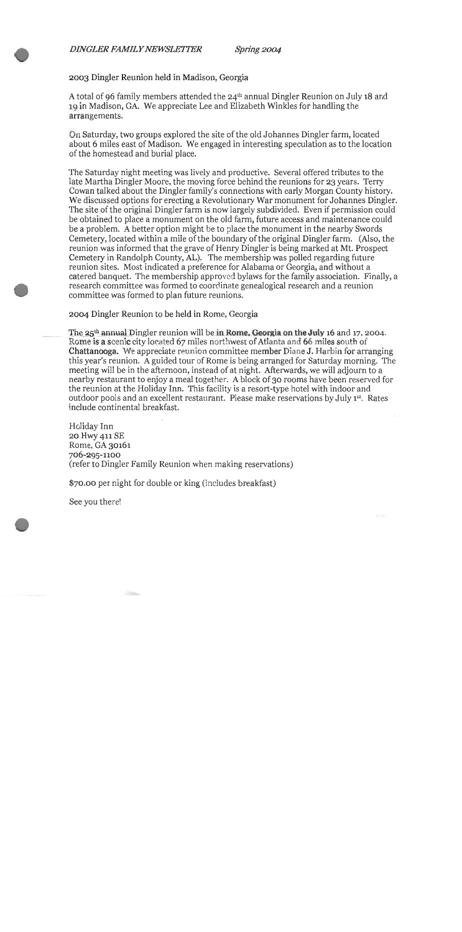Spring 2004

**2003** Dingler Reunion held in Madison, Georgia

A total of 96 family members attended the 24<sup>th</sup> annual Dingler Reunion on July 18 and **lg** in Madison, GA. We appreciate Lee and Elizabeth Winkles for handling the arrangements.

On Saturday, two groups explored the site of the old Johannes Dingler farm, located about *6* miles east of Madison. We engaged in interesting speculation as to the location of the homestead and burial place.

The Saturday night meeting was lively and productive. Several offered tributes to the late Martha Dingler Moore, the moving force behind the reunions for 23 years. Terry Cowan talked about the Dingler family's connections with early Morgan County history. We discussed options for erecting a Revolutionary War monument for Johannes Dingler. The site of the original Dingler farm is now largely subdivided. Even if permission could be obtained to place a monument on the old farm, future access and maintenance could be a problem. **A** better option might be to place the monument in the nearby Swords Cemetery, located within a mile of the boundary of the original Dingler farm. (Also, the reunion was informed that the grave of Henry Dingler is being marked at Mt. Prospect Cemetery in Randolph County, **AL).** The membership was polled regarding future reunion sites. Most indicated a preference for Alabama or Georgia, and without a catered banquet. The membership approved bylaws for the family association. Finally, a research committee was formed to coordinate genealogical research and a reunion committee was formed to plan future reunions.

**2004** Dingler Reunion to be held in Rome, Georgia

The  $25<sup>th</sup>$  annual Dingler reunion will be in **Rome. Georgia on the July 16** and 17, 2004. Rome is a scenic city located **67** miles northwest of Atlanta and **66** miles south of Chattanooga. We appreciate reunion committee member Diane J. Harbin for arranging this year's reunion. A guided tour of Rome is being arranged for Saturday morning. The meeting will be in the afternoon, instead of at night. Afterwards, we will adjourn to a nearby restaurant to enjoy a meal together. A block **of 30** rooms have been reserved for the reunion at the Holiday Inn. This facility is a resort-type hotel with indoor and outdoor pools and an excellent restaurant. Please make reservations by July **1"'.** Rates include continental breakfast.

Holiday Inn **20** Hwy **411 SE**  Rome, GA **30161 706-295-1100**  (refer to Dingler Family Reunion when making reservations)

**\$70.00** per night for double or king (includes breakfast)

See you there!